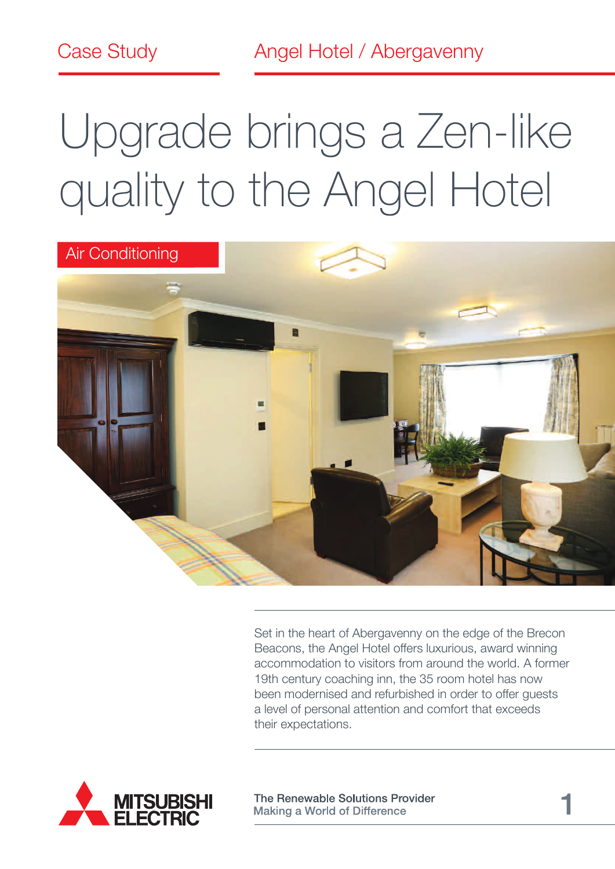Case Study **Angel Hotel / Abergavenny** 

# Upgrade brings a Zen-like quality to the Angel Hotel



Set in the heart of Abergavenny on the edge of the Brecon Beacons, the Angel Hotel offers luxurious, award winning accommodation to visitors from around the world. A former 19th century coaching inn, the 35 room hotel has now been modernised and refurbished in order to offer guests a level of personal attention and comfort that exceeds their expectations.



The Renewable Solutions Provider **Making a World of Difference**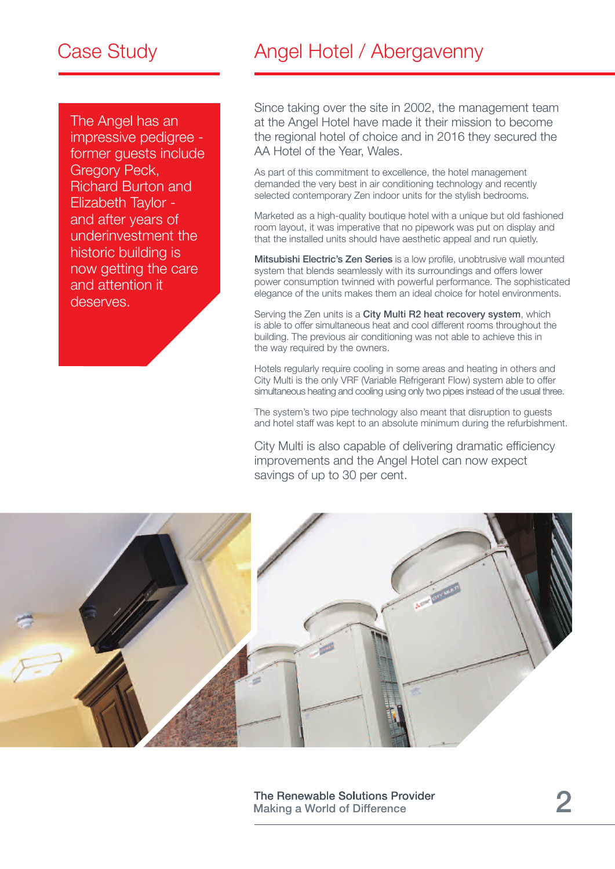The Angel has an impressive pedigree former guests include Gregory Peck, Richard Burton and Elizabeth Taylor and after years of underinvestment the historic building is now getting the care and attention it deserves.

# Case Study **Angel Hotel / Abergavenny**

Since taking over the site in 2002, the management team at the Angel Hotel have made it their mission to become the regional hotel of choice and in 2016 they secured the AA Hotel of the Year, Wales.

As part of this commitment to excellence, the hotel management demanded the very best in air conditioning technology and recently selected contemporary Zen indoor units for the stylish bedrooms.

Marketed as a high-quality boutique hotel with a unique but old fashioned room layout, it was imperative that no pipework was put on display and that the installed units should have aesthetic appeal and run quietly.

Mitsubishi Electric's Zen Series is a low profile, unobtrusive wall mounted system that blends seamlessly with its surroundings and offers lower power consumption twinned with powerful performance. The sophisticated elegance of the units makes them an ideal choice for hotel environments.

Serving the Zen units is a City Multi R2 heat recovery system, which is able to offer simultaneous heat and cool different rooms throughout the building. The previous air conditioning was not able to achieve this in the way required by the owners.

Hotels regularly require cooling in some areas and heating in others and City Multi is the only VRF (Variable Refrigerant Flow) system able to offer simultaneous heating and cooling using only two pipes instead of the usual three.

The system's two pipe technology also meant that disruption to guests and hotel staff was kept to an absolute minimum during the refurbishment.

City Multi is also capable of delivering dramatic efficiency improvements and the Angel Hotel can now expect savings of up to 30 per cent.

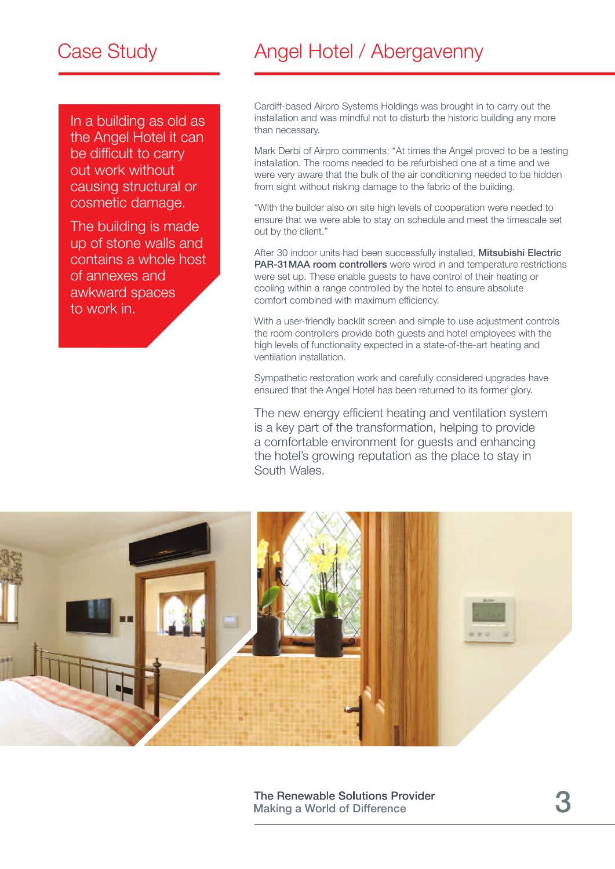# Case Study

In a building as old as the Angel Hotel it can be difficult to carry out work without causing structural or cosmetic damage.

The building is made up of stone walls and contains a whole host of annexes and awkward spaces to work in.

# Angel Hotel / Abergavenny

Cardiff-based Airpro Systems Holdings was brought in to carry out the installation and was mindful not to disturb the historic building any more than necessary.

Mark Derbi of Airpro comments: "At times the Angel proved to be a testing installation. The rooms needed to be refurbished one at a time and we were very aware that the bulk of the air conditioning needed to be hidden from sight without risking damage to the fabric of the building.

"With the builder also on site high levels of cooperation were needed to ensure that we were able to stay on schedule and meet the timescale set out by the client."

After 30 indoor units had been successfully installed, Mitsubishi Electric PAR-31MAA room controllers were wired in and temperature restrictions were set up. These enable guests to have control of their heating or cooling within a range controlled by the hotel to ensure absolute comfort combined with maximum efficiency.

With a user-friendly backlit screen and simple to use adjustment controls the room controllers provide both guests and hotel employees with the high levels of functionality expected in a state-of-the-art heating and ventilation installation.

Sympathetic restoration work and carefully considered upgrades have ensured that the Angel Hotel has been returned to its former glory.

The new energy efficient heating and ventilation system is a key part of the transformation, helping to provide a comfortable environment for guests and enhancing the hotel's growing reputation as the place to stay in South Wales.



The Renewable Solutions Provider **Making a World of Difference**